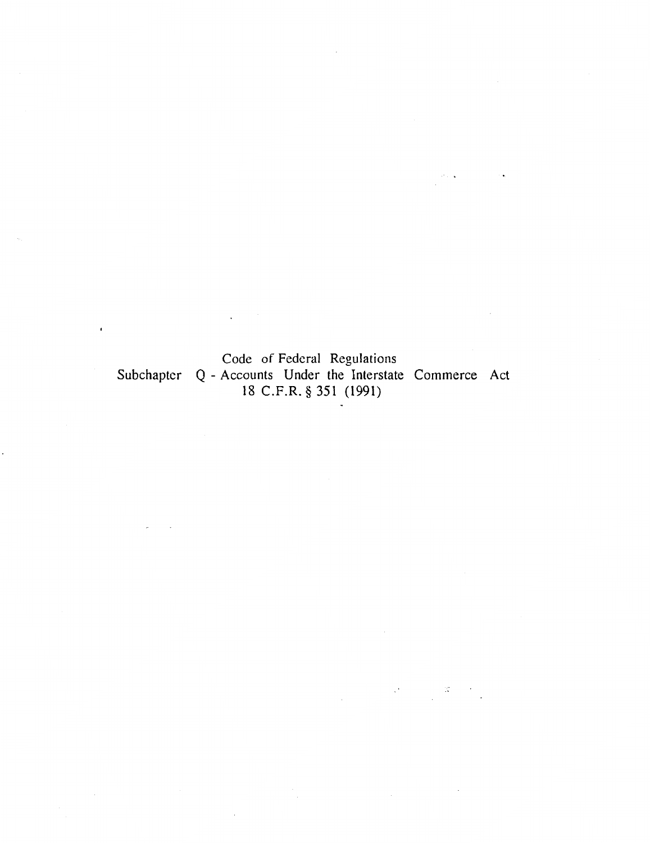Code of Federal Regulations Subchapter Q - Accounts Under the Interstate Commerce Act 18 C.F .R. § 351 (1991)

 $\frac{1}{2} \frac{d^2}{dt^2} \frac{d^2}{dt^2} \label{eq:10}$ 

 $\mathcal{A}^{\bullet}$  and  $\mathcal{A}^{\bullet}$ 

 $\ddot{\phantom{a}}$ 

 $\ddot{\phantom{0}}$ 

 $\sim$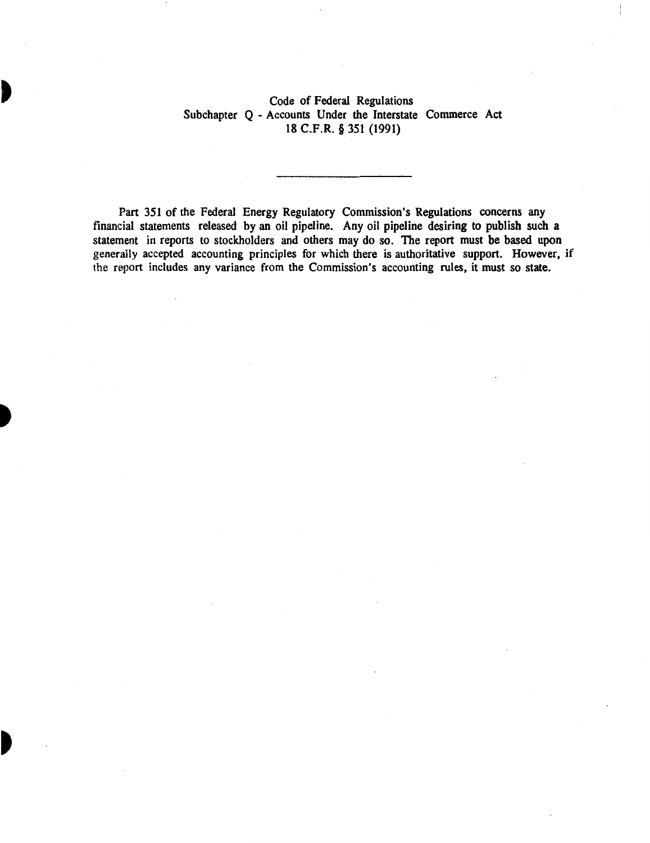# Code of Federal Regulations Subchapter Q - Accounts Under the Interstate Commerce Act 18 C.F.R. § 351 (1991)

Part 351 of the Federal Energy Regulatory Commission's Regulations concerns any financial statements released by an oil pipeline. Any oil pipeline desiring to publish such a statement in reports to stockholders and others may do so. The report must be based upon generally accepted accounting principles for which there is authoritative support. However, if the report includes any variance from the Commission's accounting rules, it must so state.